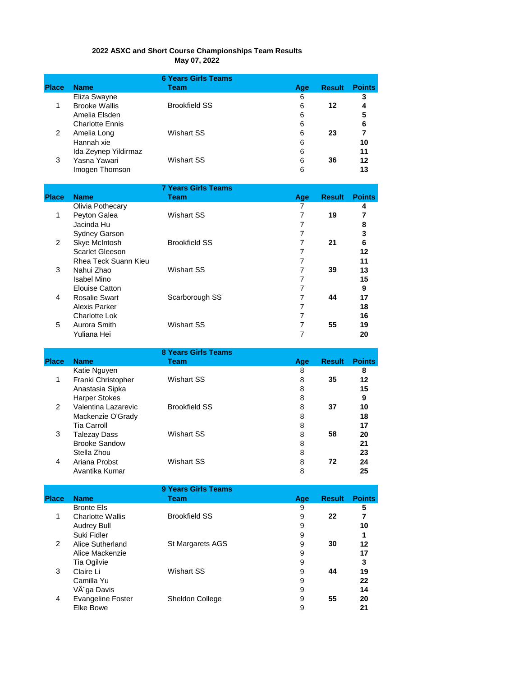|              |                                                       | <b>6 Years Girls Teams</b> |                     |               |                     |
|--------------|-------------------------------------------------------|----------------------------|---------------------|---------------|---------------------|
| <b>Place</b> | <b>Name</b>                                           | <b>Team</b>                | Age                 | <b>Result</b> | <b>Points</b>       |
| $\mathbf{1}$ | Eliza Swayne<br><b>Brooke Wallis</b><br>Amelia Elsden | <b>Brookfield SS</b>       | 6<br>6<br>6         | 12            | 3<br>4<br>5         |
|              | <b>Charlotte Ennis</b>                                |                            | 6                   |               | 6                   |
| 2            | Amelia Long                                           | <b>Wishart SS</b>          | 6                   | 23            | 7                   |
|              | Hannah xie                                            |                            | 6                   |               | 10                  |
|              | Ida Zeynep Yildirmaz                                  |                            | 6                   |               | 11                  |
| 3            | Yasna Yawari<br>Imogen Thomson                        | <b>Wishart SS</b>          | 6<br>6              | 36            | 12<br>13            |
|              |                                                       |                            |                     |               |                     |
|              |                                                       | <b>7 Years Girls Teams</b> |                     |               |                     |
| <b>Place</b> | <b>Name</b>                                           | <b>Team</b>                | Age                 | <b>Result</b> | <b>Points</b>       |
| 1            | Olivia Pothecary<br>Peyton Galea                      | <b>Wishart SS</b>          | 7<br>$\overline{7}$ | 19            | 4<br>$\overline{7}$ |
|              | Jacinda Hu                                            |                            | $\overline{7}$      |               | 8                   |
|              | Sydney Garson                                         |                            | $\overline{7}$      |               | 3                   |
| 2            | Skye McIntosh                                         | <b>Brookfield SS</b>       | $\overline{7}$      | 21            | 6                   |
|              | <b>Scarlet Gleeson</b>                                |                            | 7                   |               | 12                  |
|              | <b>Rhea Teck Suann Kieu</b>                           |                            | $\overline{7}$      |               | 11                  |
| 3            | Nahui Zhao<br><b>Isabel Mino</b>                      | <b>Wishart SS</b>          | 7<br>7              | 39            | 13<br>15            |
|              | <b>Elouise Catton</b>                                 |                            | $\overline{7}$      |               | 9                   |
| 4            | <b>Rosalie Swart</b>                                  | Scarborough SS             | $\overline{7}$      | 44            | 17                  |
|              | Alexis Parker                                         |                            | $\overline{7}$      |               | 18                  |
|              | <b>Charlotte Lok</b>                                  |                            | $\overline{7}$      |               | 16                  |
| 5            | Aurora Smith                                          | <b>Wishart SS</b>          | $\overline{7}$      | 55            | 19                  |
|              | Yuliana Hei                                           |                            | 7                   |               | 20                  |
|              |                                                       | <b>8 Years Girls Teams</b> |                     |               |                     |
| <b>Place</b> | <b>Name</b>                                           | <b>Team</b>                | Age                 | <b>Result</b> | <b>Points</b>       |
|              | Katie Nguyen                                          |                            | 8                   |               | 8                   |
| 1            | Franki Christopher                                    | <b>Wishart SS</b>          | 8                   | 35            | 12                  |
|              | Anastasia Sipka<br><b>Harper Stokes</b>               |                            | 8<br>8              |               | 15<br>9             |
| 2            | Valentina Lazarevic                                   | <b>Brookfield SS</b>       | 8                   | 37            | 10                  |
|              | Mackenzie O'Grady                                     |                            | 8                   |               | 18                  |
|              | <b>Tia Carroll</b>                                    |                            | 8                   |               | 17                  |
| 3            | <b>Talezay Dass</b>                                   | <b>Wishart SS</b>          | 8                   | 58            | 20                  |
|              | <b>Brooke Sandow</b>                                  |                            | 8                   |               | 21                  |
|              | Stella Zhou                                           |                            | 8                   |               | 23                  |

## **2022 ASXC and Short Course Championships Team Results May 07, 2022**

|              |                          | 9 Years Girls Teams  |     |               |               |
|--------------|--------------------------|----------------------|-----|---------------|---------------|
| <b>Place</b> | <b>Name</b>              | Team                 | Age | <b>Result</b> | <b>Points</b> |
|              | <b>Bronte Els</b>        |                      | 9   |               | 5             |
| 1            | <b>Charlotte Wallis</b>  | <b>Brookfield SS</b> | 9   | 22            | 7             |
|              | <b>Audrey Bull</b>       |                      | 9   |               | 10            |
|              | Suki Fidler              |                      | 9   |               |               |
| 2            | Alice Sutherland         | St Margarets AGS     | 9   | 30            | 12            |
|              | Alice Mackenzie          |                      | 9   |               | 17            |
|              | Tia Ogilvie              |                      | 9   |               | 3             |
| 3            | Claire Li                | Wishart SS           | 9   | 44            | 19            |
|              | Camilla Yu               |                      | 9   |               | 22            |
|              | Vèga Davis               |                      | 9   |               | 14            |
| 4            | <b>Evangeline Foster</b> | Sheldon College      | 9   | 55            | 20            |
|              | Elke Bowe                |                      | 9   |               | 21            |

Stella Zhou 8 **23**

Wishart SS

4

Ariana Probst 8 **24** Avantika Kumar 8 **25**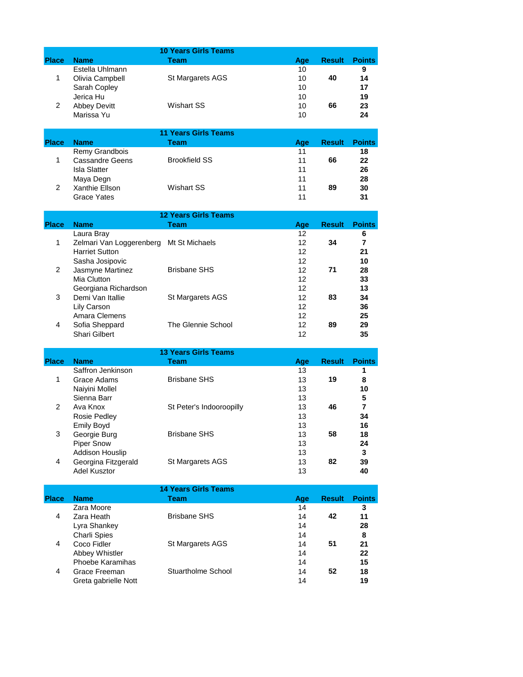|                |                           | <b>10 Years Girls Teams</b> |           |               |               |
|----------------|---------------------------|-----------------------------|-----------|---------------|---------------|
| <b>Place</b>   | <b>Name</b>               | <b>Team</b>                 | Age       | <b>Result</b> | <b>Points</b> |
|                | Estella Uhlmann           |                             | 10        |               | 9             |
| 1              | Olivia Campbell           | St Margarets AGS            | 10        | 40            | 14            |
|                | Sarah Copley              |                             | 10        |               | 17            |
|                | Jerica Hu                 |                             | 10        |               | 19            |
| 2              | <b>Abbey Devitt</b>       | <b>Wishart SS</b>           | 10        | 66            | 23            |
|                | Marissa Yu                |                             | 10        |               | 24            |
|                |                           |                             |           |               |               |
|                |                           | <b>11 Years Girls Teams</b> |           |               |               |
| <b>Place</b>   | <b>Name</b>               | Team                        | Age       | <b>Result</b> | <b>Points</b> |
|                | Remy Grandbois            |                             | 11        |               | 18            |
| 1              | <b>Cassandre Geens</b>    | <b>Brookfield SS</b>        | 11        | 66            | 22            |
|                | <b>Isla Slatter</b>       |                             | 11        |               | 26            |
|                | Maya Degn                 |                             | 11        |               | 28            |
| 2              | Xanthie Ellson            | <b>Wishart SS</b>           | 11        | 89            | 30            |
|                | Grace Yates               |                             | 11        |               | 31            |
|                |                           |                             |           |               |               |
|                |                           | <b>12 Years Girls Teams</b> |           |               |               |
| <b>Place</b>   | <b>Name</b>               | <b>Team</b>                 | Age       | <b>Result</b> | <b>Points</b> |
|                | Laura Bray                |                             | 12        |               | 6             |
| 1              | Zelmari Van Loggerenberg  | Mt St Michaels              | 12        | 34            | 7             |
|                | <b>Harriet Sutton</b>     |                             | 12        |               | 21            |
|                | Sasha Josipovic           |                             | 12        |               | 10            |
| $\overline{2}$ | Jasmyne Martinez          | <b>Brisbane SHS</b>         | 12        | 71            | 28            |
|                | Mia Clutton               |                             | 12        |               | 33            |
|                | Georgiana Richardson      |                             | 12        |               | 13            |
| 3              | Demi Van Itallie          | St Margarets AGS            | 12        | 83            | 34            |
|                | Lily Carson               |                             | 12        |               | 36            |
|                | Amara Clemens             |                             | 12        |               | 25            |
| 4              | Sofia Sheppard            | The Glennie School          | 12        | 89            | 29            |
|                | <b>Shari Gilbert</b>      |                             | 12        |               | 35            |
|                |                           |                             |           |               |               |
|                |                           | <b>13 Years Girls Teams</b> |           |               |               |
| <b>Place</b>   | <b>Name</b>               | Team                        | Age       | <b>Result</b> | <b>Points</b> |
|                | Saffron Jenkinson         |                             | 13        |               | 1             |
| 1              | Grace Adams               | <b>Brisbane SHS</b>         | 13        | 19            | 8             |
|                | Naiyini Mollel            |                             | 13        |               | 10            |
|                | Sienna Barr               |                             | 13        |               | 5             |
| $\overline{2}$ | Ava Knox                  | St Peter's Indooroopilly    | 13        | 46            | 7             |
|                | <b>Rosie Pedley</b>       |                             | 13        |               | 34            |
|                | Emily Boyd                |                             | 13        |               | 16            |
| 3              | Georgie Burg              | <b>Brisbane SHS</b>         | 13        | 58            | 18            |
|                | <b>Piper Snow</b>         |                             | 13        |               | 24            |
|                | Addison Houslip           |                             | 13        |               | 3             |
| 4              | Georgina Fitzgerald       | St Margarets AGS            | 13        | 82            | 39            |
|                | <b>Adel Kusztor</b>       |                             | 13        |               | 40            |
|                |                           |                             |           |               |               |
|                |                           | <b>14 Years Girls Teams</b> |           | <b>Result</b> |               |
| <b>Place</b>   | <b>Name</b><br>Zara Moore | <b>Team</b>                 | Age<br>14 |               | <b>Points</b> |
| 4              | Zara Heath                | <b>Brisbane SHS</b>         | 14        | 42            | 3<br>11       |
|                |                           |                             |           |               |               |
|                | Lyra Shankey              |                             | 14        |               | 28            |
|                | <b>Charli Spies</b>       |                             | 14        |               | 8             |
| 4              | Coco Fidler               | St Margarets AGS            | 14        | 51            | 21            |
|                | Abbey Whistler            |                             | 14        |               | 22            |
|                | <b>Phoebe Karamihas</b>   |                             | 14        |               | 15            |
| 4              | Grace Freeman             | Stuartholme School          | 14        | 52            | 18            |
|                | Greta gabrielle Nott      |                             | 14        |               | 19            |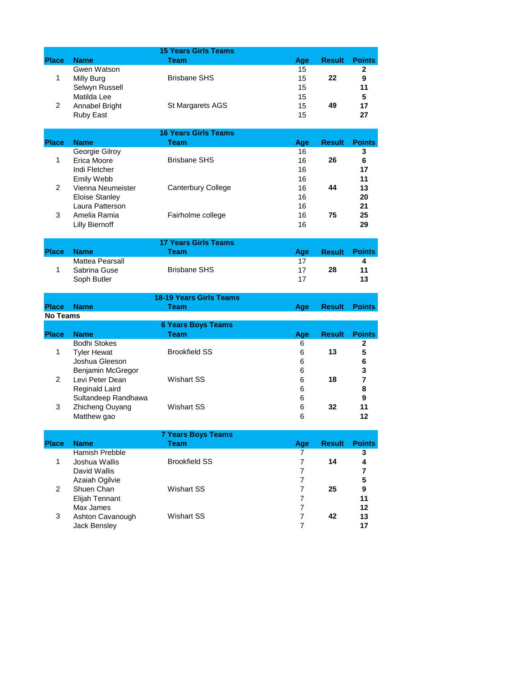|                 |                                  | <b>15 Years Girls Teams</b>         |                                  |               |                     |
|-----------------|----------------------------------|-------------------------------------|----------------------------------|---------------|---------------------|
| <b>Place</b>    | <b>Name</b>                      | Team                                | Age                              | <b>Result</b> | <b>Points</b>       |
|                 | Gwen Watson                      |                                     | 15                               |               | $\mathbf{2}$        |
| $\mathbf 1$     | Milly Burg                       | <b>Brisbane SHS</b>                 | 15                               | 22            | 9                   |
|                 | Selwyn Russell                   |                                     | 15                               |               | 11                  |
|                 | Matilda Lee                      |                                     | 15                               |               | 5                   |
| $\overline{2}$  | Annabel Bright                   | St Margarets AGS                    | 15                               | 49            | 17                  |
|                 | <b>Ruby East</b>                 |                                     | 15                               |               | 27                  |
|                 |                                  |                                     |                                  |               |                     |
| <b>Place</b>    | <b>Name</b>                      | <b>16 Years Girls Teams</b><br>Team |                                  |               |                     |
|                 | Georgie Gilroy                   |                                     | Age<br>16                        | <b>Result</b> | <b>Points</b><br>3  |
| $\mathbf 1$     | Erica Moore                      | <b>Brisbane SHS</b>                 | 16                               | 26            | 6                   |
|                 | Indi Fletcher                    |                                     | 16                               |               | 17                  |
|                 | Emily Webb                       |                                     | 16                               |               | 11                  |
| 2               | Vienna Neumeister                | Canterbury College                  | 16                               | 44            | 13                  |
|                 | <b>Eloise Stanley</b>            |                                     | 16                               |               | 20                  |
|                 | Laura Patterson                  |                                     | 16                               |               | 21                  |
| 3               | Amelia Ramia                     | Fairholme college                   | 16                               | 75            | 25                  |
|                 | <b>Lilly Biernoff</b>            |                                     | 16                               |               | 29                  |
|                 |                                  |                                     |                                  |               |                     |
|                 |                                  | <b>17 Years Girls Teams</b>         |                                  |               |                     |
| <b>Place</b>    | <b>Name</b>                      | <b>Team</b>                         | Age                              | <b>Result</b> | <b>Points</b>       |
|                 | Mattea Pearsall                  |                                     | 17                               |               | 4                   |
| 1               | Sabrina Guse                     | <b>Brisbane SHS</b>                 | 17                               | 28            | 11                  |
|                 | Soph Butler                      |                                     | 17                               |               | 13                  |
|                 |                                  |                                     |                                  |               |                     |
|                 |                                  | <b>18-19 Years Girls Teams</b>      |                                  |               |                     |
|                 |                                  |                                     |                                  |               |                     |
| <b>Place</b>    | <b>Name</b>                      | <b>Team</b>                         | Age                              | <b>Result</b> | <b>Points</b>       |
| <b>No Teams</b> |                                  |                                     |                                  |               |                     |
|                 |                                  | <b>6 Years Boys Teams</b>           |                                  |               |                     |
| <b>Place</b>    | <b>Name</b>                      | <b>Team</b>                         | Age                              | <b>Result</b> | <b>Points</b>       |
|                 | <b>Bodhi Stokes</b>              |                                     | 6                                |               | $\mathbf{2}$        |
| $\mathbf 1$     | <b>Tyler Hewat</b>               | <b>Brookfield SS</b>                | 6                                | 13            | 5                   |
|                 | Joshua Gleeson                   |                                     | 6                                |               | 6                   |
| $\overline{2}$  | Benjamin McGregor                | Wishart SS                          | 6                                | 18            | 3<br>$\overline{ }$ |
|                 | Levi Peter Dean                  |                                     | 6<br>6                           |               |                     |
|                 | <b>Reginald Laird</b>            |                                     |                                  |               | 8<br>9              |
| 3               | Sultandeep Randhawa              | <b>Wishart SS</b>                   | 6<br>6                           | 32            | 11                  |
|                 | Zhicheng Ouyang<br>Matthew gao   |                                     | 6                                |               | 12                  |
|                 |                                  |                                     |                                  |               |                     |
|                 |                                  | <b>7 Years Boys Teams</b>           |                                  |               |                     |
| <b>Place</b>    | <b>Name</b>                      | <b>Team</b>                         | Age                              | <b>Result</b> | <b>Points</b>       |
|                 | Hamish Prebble                   |                                     | $\overline{7}$                   |               | 3                   |
| $\mathbf{1}$    | Joshua Wallis                    | <b>Brookfield SS</b>                | 7                                | 14            | 4                   |
|                 | David Wallis                     |                                     | $\overline{7}$                   |               | 7                   |
|                 | Azaiah Ogilvie                   |                                     | $\overline{7}$                   |               | 5                   |
| $\overline{2}$  | Shuen Chan                       | <b>Wishart SS</b>                   | $\overline{7}$                   | 25            | 9                   |
|                 | Elijah Tennant                   |                                     | 7                                |               | 11                  |
|                 | Max James                        |                                     | $\overline{7}$                   |               | 12                  |
| 3               | Ashton Cavanough<br>Jack Bensley | Wishart SS                          | $\overline{7}$<br>$\overline{7}$ | 42            | 13<br>17            |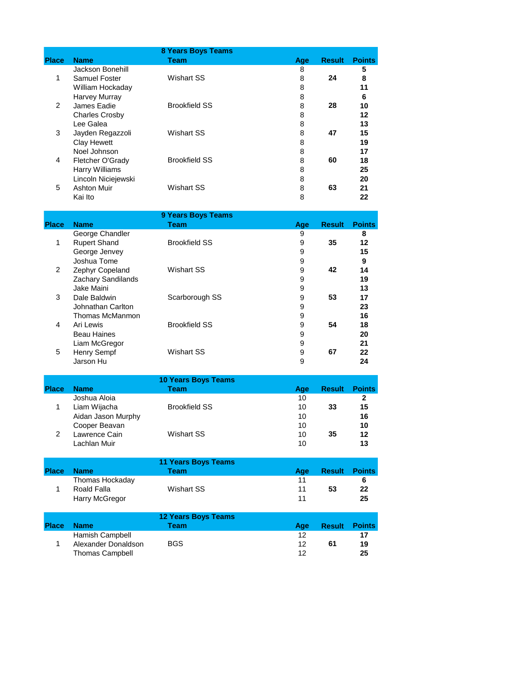|              |                       | <b>8 Years Boys Teams</b> |     |               |               |
|--------------|-----------------------|---------------------------|-----|---------------|---------------|
| <b>Place</b> | <b>Name</b>           | Team                      | Age | <b>Result</b> | <b>Points</b> |
|              | Jackson Bonehill      |                           | 8   |               | 5             |
| $\mathbf{1}$ | Samuel Foster         | Wishart SS                | 8   | 24            | 8             |
|              | William Hockaday      |                           | 8   |               | 11            |
|              | Harvey Murray         |                           | 8   |               | 6             |
| 2            | James Eadie           | <b>Brookfield SS</b>      | 8   | 28            | 10            |
|              | <b>Charles Crosby</b> |                           | 8   |               | 12            |
|              | Lee Galea             |                           | 8   |               | 13            |
| 3            | Jayden Regazzoli      | Wishart SS                | 8   | 47            | 15            |
|              | Clay Hewett           |                           | 8   |               | 19            |
|              | Noel Johnson          |                           | 8   |               | 17            |
| 4            | Fletcher O'Grady      | <b>Brookfield SS</b>      | 8   | 60            | 18            |
|              | Harry Williams        |                           | 8   |               | 25            |
|              | Lincoln Niciejewski   |                           | 8   |               | 20            |
| 5            | <b>Ashton Muir</b>    | Wishart SS                | 8   | 63            | 21            |
|              | Kai Ito               |                           | 8   |               | 22            |

|               |                     | 9 Years Boys Teams   |     |               |               |
|---------------|---------------------|----------------------|-----|---------------|---------------|
| <b>Place</b>  | <b>Name</b>         | Team                 | Age | <b>Result</b> | <b>Points</b> |
|               | George Chandler     |                      | 9   |               | 8             |
| 1             | <b>Rupert Shand</b> | <b>Brookfield SS</b> | 9   | 35            | 12            |
|               | George Jenvey       |                      | 9   |               | 15            |
|               | Joshua Tome         |                      | 9   |               | 9             |
| $\mathcal{P}$ | Zephyr Copeland     | Wishart SS           | 9   | 42            | 14            |
|               | Zachary Sandilands  |                      | 9   |               | 19            |
|               | Jake Maini          |                      | 9   |               | 13            |
| 3             | Dale Baldwin        | Scarborough SS       | 9   | 53            | 17            |
|               | Johnathan Carlton   |                      | 9   |               | 23            |
|               | Thomas McManmon     |                      | 9   |               | 16            |
| 4             | Ari Lewis           | <b>Brookfield SS</b> | 9   | 54            | 18            |
|               | <b>Beau Haines</b>  |                      | 9   |               | 20            |
|               | Liam McGregor       |                      | 9   |               | 21            |
| 5             | <b>Henry Sempf</b>  | Wishart SS           | 9   | 67            | 22            |
|               | Jarson Hu           |                      | 9   |               | 24            |

|              |                    | <b>10 Years Boys Teams</b> |     |               |               |
|--------------|--------------------|----------------------------|-----|---------------|---------------|
| <b>Place</b> | <b>Name</b>        | Team                       | Age | <b>Result</b> | <b>Points</b> |
|              | Joshua Aloia       |                            | 10  |               |               |
|              | Liam Wijacha       | <b>Brookfield SS</b>       | 10  | 33            | 15            |
|              | Aidan Jason Murphy |                            | 10  |               | 16            |
|              | Cooper Beavan      |                            | 10  |               | 10            |
|              | Lawrence Cain      | Wishart SS                 | 10  | 35            | $12 \,$       |
|              | Lachlan Muir       |                            | 10  |               | 13            |

|              | <b>11 Years Boys Teams</b> |            |     |        |               |
|--------------|----------------------------|------------|-----|--------|---------------|
| <b>Place</b> | <b>Name</b>                | Team       | Aae | Result | <b>Points</b> |
|              | Thomas Hockaday            |            | 11  |        | 6             |
|              | Roald Falla                | Wishart SS | 11  | 53     | 22            |
|              | Harry McGregor             |            | 11  |        | 25            |

| <b>Place</b> | <b>Name</b>            | Team       | Aae | <b>Result</b> | Points |
|--------------|------------------------|------------|-----|---------------|--------|
|              | Hamish Campbell        |            | 12  |               |        |
|              | Alexander Donaldson    | <b>BGS</b> | 12  | 61            | 19     |
|              | <b>Thomas Campbell</b> |            | 12  |               | 25     |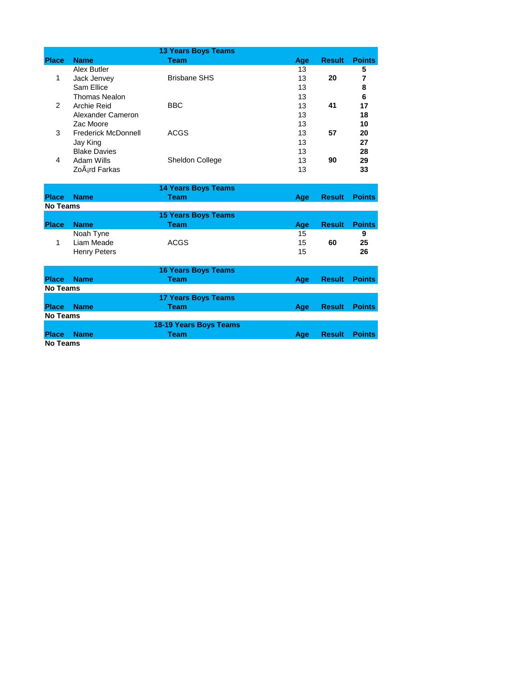|                 |                            | <b>13 Years Boys Teams</b> |     |               |               |
|-----------------|----------------------------|----------------------------|-----|---------------|---------------|
| <b>Place</b>    | <b>Name</b>                | <b>Team</b>                | Age | <b>Result</b> | <b>Points</b> |
|                 | Alex Butler                |                            | 13  |               | 5             |
| $\mathbf{1}$    | Jack Jenvey                | <b>Brisbane SHS</b>        | 13  | 20            | 7             |
|                 | Sam Ellice                 |                            | 13  |               | 8             |
|                 | <b>Thomas Nealon</b>       |                            | 13  |               | 6             |
| $\overline{2}$  | <b>Archie Reid</b>         | <b>BBC</b>                 | 13  | 41            | 17            |
|                 | Alexander Cameron          |                            | 13  |               | 18            |
|                 | Zac Moore                  |                            | 13  |               | 10            |
| 3               | <b>Frederick McDonnell</b> | <b>ACGS</b>                | 13  | 57            | 20            |
|                 | Jay King                   |                            | 13  |               | 27            |
|                 | <b>Blake Davies</b>        |                            | 13  |               | 28            |
| 4               | Adam Wills                 | Sheldon College            | 13  | 90            | 29            |
|                 | ZoÂ <sub>i</sub> rd Farkas |                            | 13  |               | 33            |
|                 |                            |                            |     |               |               |
|                 |                            | <b>14 Years Boys Teams</b> |     |               |               |
| <b>Place</b>    | <b>Name</b>                | <b>Team</b>                | Age | <b>Result</b> | <b>Points</b> |
| <b>No Teams</b> |                            |                            |     |               |               |
|                 |                            | <b>15 Years Boys Teams</b> |     |               |               |
| <b>Place</b>    | <b>Name</b>                | <b>Team</b>                | Age | <b>Result</b> | <b>Points</b> |
|                 | Noah Tyne                  |                            | 15  |               | 9             |
| $\mathbf{1}$    | Liam Meade                 | <b>ACGS</b>                | 15  | 60            | 25            |
|                 | <b>Henry Peters</b>        |                            | 15  |               | 26            |
|                 |                            |                            |     |               |               |
|                 |                            | <b>16 Years Boys Teams</b> |     |               |               |
| <b>Place</b>    | <b>Name</b>                | <b>Team</b>                | Age | <b>Result</b> | <b>Points</b> |
| <b>No Teams</b> |                            |                            |     |               |               |
|                 |                            | <b>17 Years Boys Teams</b> |     |               |               |
| <b>Place</b>    | <b>Name</b>                | <b>Team</b>                | Age | <b>Result</b> | <b>Points</b> |
| <b>No Teams</b> |                            |                            |     |               |               |
|                 |                            | 18-19 Years Boys Teams     |     |               |               |
| <b>Place</b>    | <b>Name</b>                | <b>Team</b>                | Age | <b>Result</b> | <b>Points</b> |
| <b>No Teams</b> |                            |                            |     |               |               |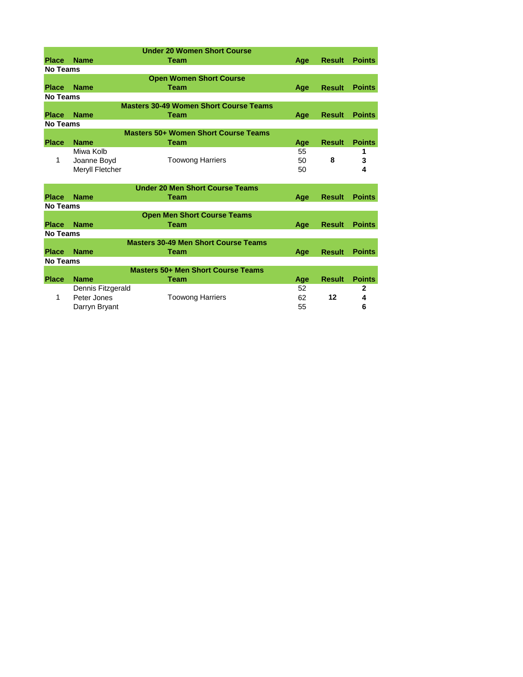|                 |                   | <b>Under 20 Women Short Course</b>            |     |               |               |
|-----------------|-------------------|-----------------------------------------------|-----|---------------|---------------|
| <b>Place</b>    | <b>Name</b>       | <b>Team</b>                                   | Age | <b>Result</b> | <b>Points</b> |
| <b>No Teams</b> |                   |                                               |     |               |               |
|                 |                   | <b>Open Women Short Course</b>                |     |               |               |
| <b>Place</b>    | <b>Name</b>       | <b>Team</b>                                   | Age | <b>Result</b> | <b>Points</b> |
| <b>No Teams</b> |                   |                                               |     |               |               |
|                 |                   | <b>Masters 30-49 Women Short Course Teams</b> |     |               |               |
| <b>Place</b>    | <b>Name</b>       | Team                                          | Age | <b>Result</b> | <b>Points</b> |
| <b>No Teams</b> |                   |                                               |     |               |               |
|                 |                   | <b>Masters 50+ Women Short Course Teams</b>   |     |               |               |
| <b>Place</b>    | <b>Name</b>       | <b>Team</b>                                   | Age | <b>Result</b> | <b>Points</b> |
|                 | Miwa Kolb         |                                               | 55  |               | 1             |
| 1               | Joanne Boyd       | <b>Toowong Harriers</b>                       | 50  | 8             | 3             |
|                 | Meryll Fletcher   |                                               | 50  |               | 4             |
|                 |                   |                                               |     |               |               |
|                 |                   | <b>Under 20 Men Short Course Teams</b>        |     |               |               |
| <b>Place</b>    | <b>Name</b>       | <b>Team</b>                                   | Age | <b>Result</b> | <b>Points</b> |
| <b>No Teams</b> |                   |                                               |     |               |               |
|                 |                   | <b>Open Men Short Course Teams</b>            |     |               |               |
| <b>Place</b>    | <b>Name</b>       | <b>Team</b>                                   | Age | <b>Result</b> | <b>Points</b> |
| No Teams        |                   |                                               |     |               |               |
|                 |                   | <b>Masters 30-49 Men Short Course Teams</b>   |     |               |               |
| <b>Place</b>    | <b>Name</b>       | <b>Team</b>                                   | Age | <b>Result</b> | <b>Points</b> |
| <b>No Teams</b> |                   |                                               |     |               |               |
|                 |                   | <b>Masters 50+ Men Short Course Teams</b>     |     |               |               |
| <b>Place</b>    | <b>Name</b>       | Team                                          | Age | <b>Result</b> | <b>Points</b> |
|                 | Dennis Fitzgerald |                                               | 52  |               | $\mathbf{2}$  |
| $\mathbf{1}$    | Peter Jones       | <b>Toowong Harriers</b>                       | 62  | 12            | 4             |
|                 | Darryn Bryant     |                                               | 55  |               | 6             |
|                 |                   |                                               |     |               |               |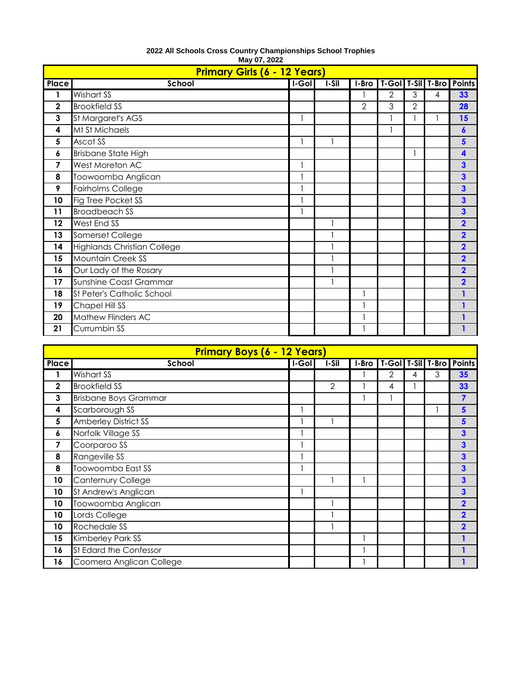|             | <b>Primary Girls (6 - 12 Years)</b> |       |       |               |                |                |   |                          |
|-------------|-------------------------------------|-------|-------|---------------|----------------|----------------|---|--------------------------|
| Place       | School                              | I-Gol | I-Sil | I-Bro         |                |                |   | T-Gol T-Sil T-Bro Points |
| 1           | Wishart SS                          |       |       |               | $\overline{2}$ | 3              | 4 | 33                       |
| $\mathbf 2$ | <b>Brookfield SS</b>                |       |       | $\mathcal{P}$ | 3              | $\overline{2}$ |   | 28                       |
| 3           | St Margaret's AGS                   |       |       |               |                |                |   | 15                       |
| 4           | Mt St Michaels                      |       |       |               |                |                |   | 6                        |
| 5           | Ascot SS                            |       |       |               |                |                |   | 5                        |
| 6           | <b>Brisbane State High</b>          |       |       |               |                |                |   | 4                        |
| 7           | West Moreton AC                     |       |       |               |                |                |   | 3                        |
| 8           | Toowoomba Anglican                  |       |       |               |                |                |   | 3                        |
| 9           | <b>Fairholms College</b>            |       |       |               |                |                |   | 3                        |
| 10          | Fig Tree Pocket SS                  |       |       |               |                |                |   | 3                        |
| 11          | <b>Broadbeach SS</b>                |       |       |               |                |                |   | 3                        |
| 12          | West End SS                         |       |       |               |                |                |   | $\overline{2}$           |
| 13          | Somerset College                    |       |       |               |                |                |   | $\overline{2}$           |
| 14          | <b>Highlands Christian College</b>  |       |       |               |                |                |   | $\overline{2}$           |
| 15          | <b>Mountain Creek SS</b>            |       |       |               |                |                |   | $\overline{2}$           |
| 16          | Our Lady of the Rosary              |       |       |               |                |                |   | $\overline{2}$           |
| 17          | Sunshine Coast Grammar              |       |       |               |                |                |   | $\overline{\mathbf{2}}$  |
| 18          | St Peter's Catholic School          |       |       |               |                |                |   |                          |
| 19          | Chapel Hill SS                      |       |       |               |                |                |   |                          |
| 20          | Mathew Flinders AC                  |       |       |               |                |                |   |                          |
| 21          | Currumbin SS                        |       |       |               |                |                |   |                          |

## **May 07, 2022 2022 All Schools Cross Country Championships School Trophies**

| <b>Primary Boys (6 - 12 Years)</b> |                              |        |                |       |   |   |   |                          |
|------------------------------------|------------------------------|--------|----------------|-------|---|---|---|--------------------------|
| Place                              | School                       | I-Goll | $I-Sil$        | I-Bro |   |   |   | T-Gol T-Sil T-Bro Points |
|                                    | Wishart SS                   |        |                |       | 2 | 4 | 3 | 35                       |
| $\overline{\mathbf{2}}$            | <b>Brookfield SS</b>         |        | $\overline{2}$ |       | 4 |   |   | 33                       |
| 3                                  | <b>Brisbane Boys Grammar</b> |        |                |       |   |   |   | 7                        |
| 4                                  | Scarborough SS               |        |                |       |   |   |   | 5                        |
| 5                                  | <b>Amberley District SS</b>  |        |                |       |   |   |   | 5                        |
| 6                                  | Norfolk Village SS           |        |                |       |   |   |   | $\mathbf{3}$             |
| 7                                  | Coorparoo SS                 |        |                |       |   |   |   | $\mathbf{3}$             |
| 8                                  | Rangeville SS                |        |                |       |   |   |   | $\overline{\mathbf{3}}$  |
| 8                                  | Toowoomba East SS            |        |                |       |   |   |   | $\mathbf{3}$             |
| 10                                 | <b>Canternury College</b>    |        |                |       |   |   |   | $\mathbf{3}$             |
| 10                                 | St Andrew's Anglican         |        |                |       |   |   |   | $\overline{\mathbf{3}}$  |
| 10                                 | Toowoomba Anglican           |        |                |       |   |   |   | $\overline{2}$           |
| 10                                 | Lords College                |        |                |       |   |   |   | $\overline{2}$           |
| 10                                 | Rochedale SS                 |        |                |       |   |   |   | $\overline{2}$           |
| 15                                 | Kimberley Park SS            |        |                |       |   |   |   |                          |
| 16                                 | St Edard the Confessor       |        |                |       |   |   |   |                          |
| 16                                 | Coomera Anglican College     |        |                |       |   |   |   |                          |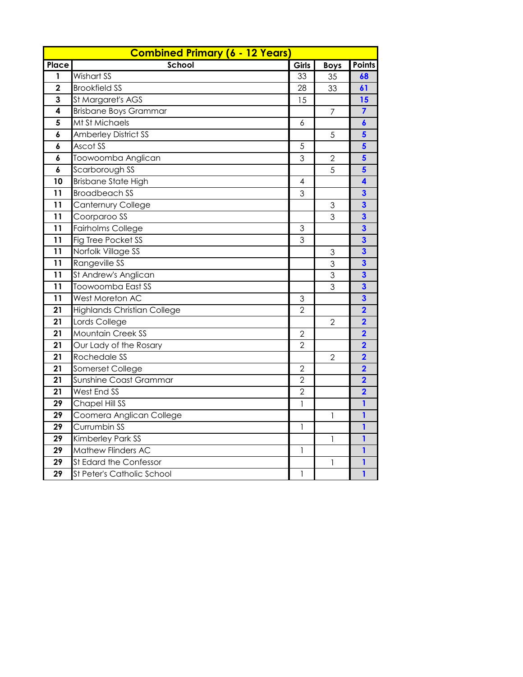|                         | <b>Combined Primary (6 - 12 Years)</b> |                |                           |                         |
|-------------------------|----------------------------------------|----------------|---------------------------|-------------------------|
| Place                   | School                                 | Girls          | <b>Boys</b>               | <b>Points</b>           |
| 1                       | Wishart SS                             | 33             | 35                        | 68                      |
| $\overline{\mathbf{2}}$ | <b>Brookfield SS</b>                   | 28             | 33                        | 61                      |
| 3                       | St Margaret's AGS                      | 15             |                           | 15                      |
| 4                       | <b>Brisbane Boys Grammar</b>           |                | $\overline{7}$            | $\overline{7}$          |
| 5                       | Mt St Michaels                         | 6              |                           | $\boldsymbol{6}$        |
| 6                       | <b>Amberley District SS</b>            |                | $\sqrt{5}$                | 5                       |
| 6                       | Ascot SS                               | $\sqrt{5}$     |                           | 5                       |
| 6                       | Toowoomba Anglican                     | 3              | $\overline{2}$            | $\overline{\mathbf{5}}$ |
| 6                       | Scarborough SS                         |                | 5                         | 5                       |
| 10                      | <b>Brisbane State High</b>             | 4              |                           | 4                       |
| 11                      | <b>Broadbeach SS</b>                   | 3              |                           | $\overline{\mathbf{3}}$ |
| 11                      | <b>Canternury College</b>              |                | 3                         | $\overline{\mathbf{3}}$ |
| 11                      | Coorparoo SS                           |                | 3                         | $\overline{\mathbf{3}}$ |
| 11                      | <b>Fairholms College</b>               | 3              |                           | $\overline{\mathbf{3}}$ |
| 11                      | Fig Tree Pocket SS                     | 3              |                           | $\overline{\mathbf{3}}$ |
| 11                      | Norfolk Village SS                     |                | $\ensuremath{\mathsf{3}}$ | $\overline{\mathbf{3}}$ |
| 11                      | Rangeville SS                          |                | 3                         | $\overline{\mathbf{3}}$ |
| 11                      | St Andrew's Anglican                   |                | $\mathfrak 3$             | $\overline{\mathbf{3}}$ |
| 11                      | Toowoomba East SS                      |                | 3                         | $\overline{\mathbf{3}}$ |
| 11                      | West Moreton AC                        | 3              |                           | $\overline{\mathbf{3}}$ |
| 21                      | <b>Highlands Christian College</b>     | $\overline{2}$ |                           | $\overline{\mathbf{2}}$ |
| 21                      | Lords College                          |                | $\overline{2}$            | $\overline{\mathbf{2}}$ |
| 21                      | <b>Mountain Creek SS</b>               | $\overline{2}$ |                           | $\overline{\mathbf{2}}$ |
| 21                      | Our Lady of the Rosary                 | $\overline{2}$ |                           | $\overline{\mathbf{2}}$ |
| 21                      | Rochedale SS                           |                | $\overline{2}$            | $\overline{\mathbf{2}}$ |
| 21                      | Somerset College                       | $\overline{2}$ |                           | $\overline{\mathbf{2}}$ |
| 21                      | Sunshine Coast Grammar                 | $\overline{2}$ |                           | $\overline{\mathbf{2}}$ |
| 21                      | West End SS                            | $\overline{2}$ |                           | $\overline{\mathbf{2}}$ |
| 29                      | Chapel Hill SS                         | $\mathbf{I}$   |                           | $\mathbf{1}$            |
| 29                      | Coomera Anglican College               |                | 1                         | 1                       |
| 29                      | Currumbin SS                           | $\mathbf{I}$   |                           | $\mathbf{1}$            |
| 29                      | Kimberley Park SS                      |                | $\mathbf{1}$              | 1                       |
| 29                      | Mathew Flinders AC                     | $\mathbf{1}$   |                           | $\mathbf{1}$            |
| 29                      | St Edard the Confessor                 |                | 1                         | 1                       |
| 29                      | St Peter's Catholic School             | 1              |                           | 1                       |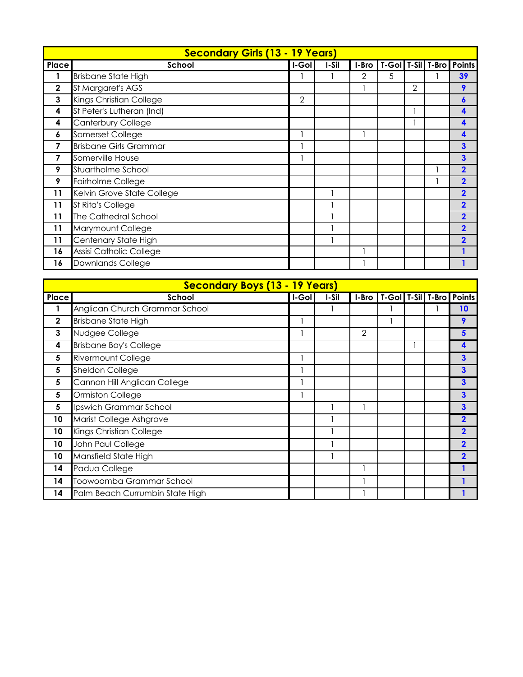|              | <b>Secondary Girls (13 - 19 Years)</b> |                |       |   |   |   |                                        |
|--------------|----------------------------------------|----------------|-------|---|---|---|----------------------------------------|
| Place        | School                                 | I-Gol          | I-Sil |   |   |   | I-Bro   T-Gol   T-Sil   T-Bro   Points |
| 1            | <b>Brisbane State High</b>             |                |       | 2 | 5 |   | 39                                     |
| $\mathbf{2}$ | St Margaret's AGS                      |                |       |   |   | 2 | 9                                      |
| 3            | Kings Christian College                | $\overline{2}$ |       |   |   |   | 6                                      |
| 4            | St Peter's Lutheran (Ind)              |                |       |   |   |   | $\boldsymbol{\Lambda}$                 |
| 4            | Canterbury College                     |                |       |   |   |   | 4                                      |
| 6            | Somerset College                       |                |       |   |   |   | 4                                      |
| 7            | <b>Brisbane Girls Grammar</b>          |                |       |   |   |   | 3                                      |
| 7            | Somerville House                       |                |       |   |   |   | 3                                      |
| 9            | Stuartholme School                     |                |       |   |   |   | $\overline{2}$                         |
| 9            | Fairholme College                      |                |       |   |   |   | $\overline{2}$                         |
| 11           | Kelvin Grove State College             |                |       |   |   |   | $\overline{2}$                         |
| 11           | <b>St Rita's College</b>               |                |       |   |   |   | $\overline{2}$                         |
| 11           | The Cathedral School                   |                |       |   |   |   | $\overline{\mathbf{2}}$                |
| 11           | Marymount College                      |                |       |   |   |   | $\overline{\mathbf{2}}$                |
| 11           | Centenary State High                   |                |       |   |   |   | $\overline{\mathbf{2}}$                |
| 16           | Assisi Catholic College                |                |       |   |   |   |                                        |
| 16           | <b>Downlands College</b>               |                |       |   |   |   |                                        |

| <b>Secondary Boys (13 - 19 Years)</b> |                                 |       |       |   |  |  |  |                                        |
|---------------------------------------|---------------------------------|-------|-------|---|--|--|--|----------------------------------------|
| Place                                 | School                          | I-Gol | I-Sil |   |  |  |  | I-Bro   T-Gol   T-Sil   T-Bro   Points |
|                                       | Anglican Church Grammar School  |       |       |   |  |  |  | 10                                     |
| $\mathbf{2}$                          | <b>Brisbane State High</b>      |       |       |   |  |  |  | 9                                      |
| 3                                     | Nudgee College                  |       |       | 2 |  |  |  | 5                                      |
| 4                                     | <b>Brisbane Boy's College</b>   |       |       |   |  |  |  |                                        |
| 5                                     | <b>Rivermount College</b>       |       |       |   |  |  |  | 3                                      |
| 5                                     | Sheldon College                 |       |       |   |  |  |  | 3                                      |
| 5                                     | Cannon Hill Anglican College    |       |       |   |  |  |  | 3                                      |
| 5                                     | Ormiston College                |       |       |   |  |  |  |                                        |
| 5                                     | Ipswich Grammar School          |       |       |   |  |  |  | 3                                      |
| 10                                    | Marist College Ashgrove         |       |       |   |  |  |  | 2                                      |
| 10                                    | Kings Christian College         |       |       |   |  |  |  |                                        |
| 10                                    | John Paul College               |       |       |   |  |  |  |                                        |
| 10                                    | Mansfield State High            |       |       |   |  |  |  | $\overline{\mathbf{2}}$                |
| 14                                    | Padua College                   |       |       |   |  |  |  |                                        |
| 14                                    | Toowoomba Grammar School        |       |       |   |  |  |  |                                        |
| 14                                    | Palm Beach Currumbin State High |       |       |   |  |  |  |                                        |